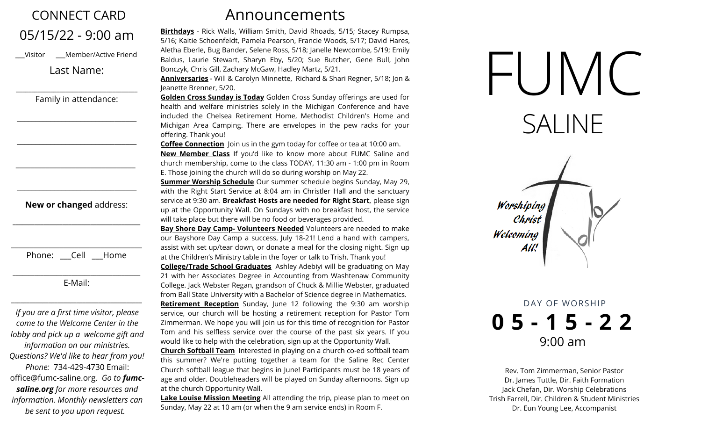## CONNECT CARD 05/15/22 - 9:00 am

\_\_\_Visitor \_\_\_Member/Active Friend

Last Name:

Family in attendance:

\_\_\_\_\_\_\_\_\_\_\_\_\_\_\_\_\_\_\_\_\_\_\_\_\_\_\_\_\_\_\_\_\_\_\_\_\_\_\_

\_\_\_\_\_\_\_\_\_\_\_\_\_\_\_\_\_\_\_\_\_\_\_\_\_\_\_\_\_\_\_\_

\_\_\_\_\_\_\_\_\_\_\_\_\_\_\_\_\_\_\_\_\_\_\_\_\_\_\_\_\_\_\_\_

\_\_\_\_\_\_\_\_\_\_\_\_\_\_\_\_\_\_\_\_\_\_\_\_\_\_\_\_\_\_\_\_

\_\_\_\_\_\_\_\_\_\_\_\_\_\_\_\_\_\_\_\_\_\_\_\_\_\_\_\_\_\_\_\_

## **New or changed** address:

\_\_\_\_\_\_\_\_\_\_\_\_\_\_\_\_\_\_\_\_\_\_\_\_\_\_\_\_\_\_\_\_\_\_\_\_\_\_\_\_\_

| Phone: | اام ۲ | Home |
|--------|-------|------|

\_\_\_\_\_\_\_\_\_\_\_\_\_\_\_\_\_\_\_\_\_\_\_\_\_\_\_\_\_\_\_\_\_\_\_\_\_\_\_\_\_ E-Mail:

\_\_\_\_\_\_\_\_\_\_\_\_\_\_\_\_\_\_\_\_\_\_\_\_\_\_\_\_\_\_\_\_\_\_\_\_\_\_\_\_\_\_

*If you are a first time visitor, please come to the Welcome Center in the lobby and pick up a welcome gift and information on our ministries. Questions? We'd like to hear from you! Phone:* 734-429-4730 Email: office@fumc-saline.org. *Go to fumcsaline.org for more resources and information. Monthly newsletters can be sent to you upon request.*

## Announcements

**Birthdays** - Rick Walls, William Smith, David Rhoads, 5/15; Stacey Rumpsa, 5/16; Kaitie Schoenfeldt, Pamela Pearson, Francie Woods, 5/17; David Hares, Aletha Eberle, Bug Bander, Selene Ross, 5/18; Janelle Newcombe, 5/19; Emily Baldus, Laurie Stewart, Sharyn Eby, 5/20; Sue Butcher, Gene Bull, John Bonczyk, Chris Gill, Zachary McGaw, Hadley Martz, 5/21.

**Anniversaries** - Will & Carolyn Minnette, Richard & Shari Regner, 5/18; Jon & Jeanette Brenner, 5/20.

**Golden Cross Sunday is Today** Golden Cross Sunday offerings are used for health and welfare ministries solely in the Michigan Conference and have included the Chelsea Retirement Home, Methodist Children's Home and Michigan Area Camping. There are envelopes in the pew racks for your offering. Thank you!

**Coffee Connection** Join us in the gym today for coffee or tea at 10:00 am. **New Member Class** If you'd like to know more about FUMC Saline and church membership, come to the class TODAY, 11:30 am - 1:00 pm in Room E. Those joining the church will do so during worship on May 22.

**Summer Worship Schedule** Our summer schedule begins Sunday, May 29, with the Right Start Service at 8:04 am in Christler Hall and the sanctuary service at 9:30 am. **Breakfast Hosts are needed for Right Start**, please sign up at the Opportunity Wall. On Sundays with no breakfast host, the service will take place but there will be no food or beverages provided.

**Bay Shore Day Camp- Volunteers Needed** Volunteers are needed to make our Bayshore Day Camp a success, July 18-21! Lend a hand with campers, assist with set up/tear down, or donate a meal for the closing night. Sign up at the Children's Ministry table in the foyer or talk to Trish. Thank you!

**College/Trade School Graduates** Ashley Adebiyi will be graduating on May 21 with her Associates Degree in Accounting from Washtenaw Community College. Jack Webster Regan, grandson of Chuck & Millie Webster, graduated from Ball State University with a Bachelor of Science degree in Mathematics. **Retirement Reception** Sunday, June 12 following the 9:30 am worship service, our church will be hosting a retirement reception for Pastor Tom Zimmerman. We hope you will join us for this time of recognition for Pastor Tom and his selfless service over the course of the past six years. If you would like to help with the celebration, sign up at the Opportunity Wall.

**Church Softball Team** Interested in playing on a church co-ed softball team this summer? We're putting together a team for the Saline Rec Center Church softball league that begins in June! Participants must be 18 years of age and older. Doubleheaders will be played on Sunday afternoons. Sign up at the church Opportunity Wall.

**Lake Louise Mission Meeting** All attending the trip, please plan to meet on Sunday, May 22 at 10 am (or when the 9 am service ends) in Room F.





DAY OF WORSHIP **0 5 - 1 5 - 2 2** 9:00 am

Rev. Tom Zimmerman, Senior Pastor Dr. James Tuttle, Dir. Faith Formation Jack Chefan, Dir. Worship Celebrations Trish Farrell, Dir. Children & Student Ministries Dr. Eun Young Lee, Accompanist